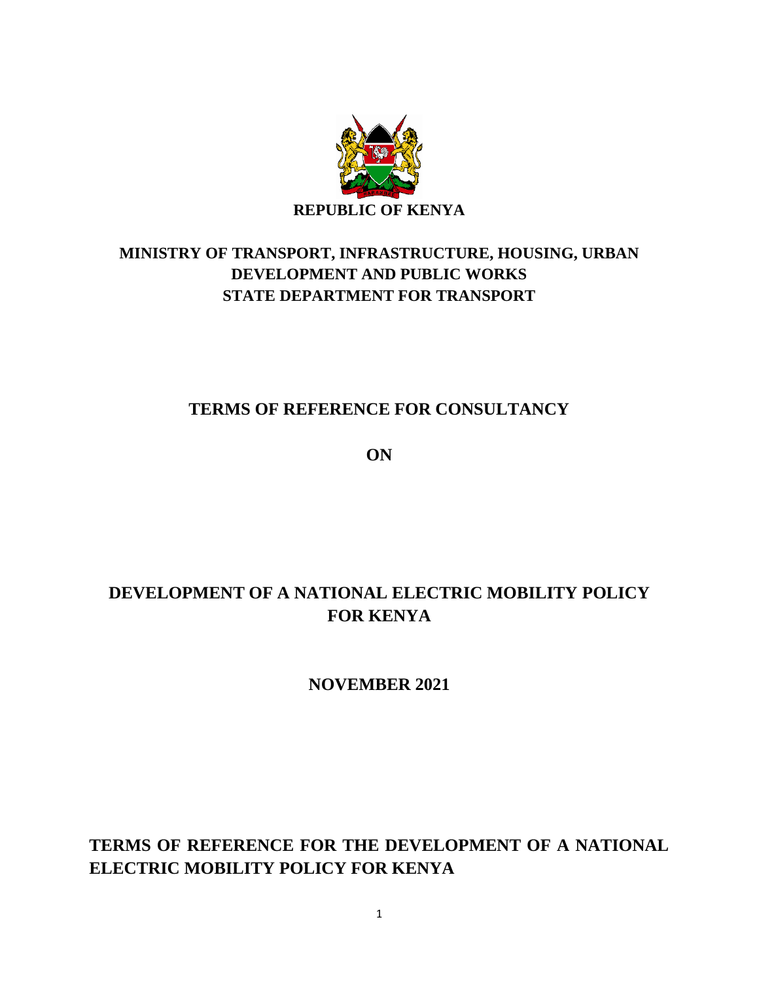

## **MINISTRY OF TRANSPORT, INFRASTRUCTURE, HOUSING, URBAN DEVELOPMENT AND PUBLIC WORKS STATE DEPARTMENT FOR TRANSPORT**

## **TERMS OF REFERENCE FOR CONSULTANCY**

**ON**

# **DEVELOPMENT OF A NATIONAL ELECTRIC MOBILITY POLICY FOR KENYA**

**NOVEMBER 2021**

## **TERMS OF REFERENCE FOR THE DEVELOPMENT OF A NATIONAL ELECTRIC MOBILITY POLICY FOR KENYA**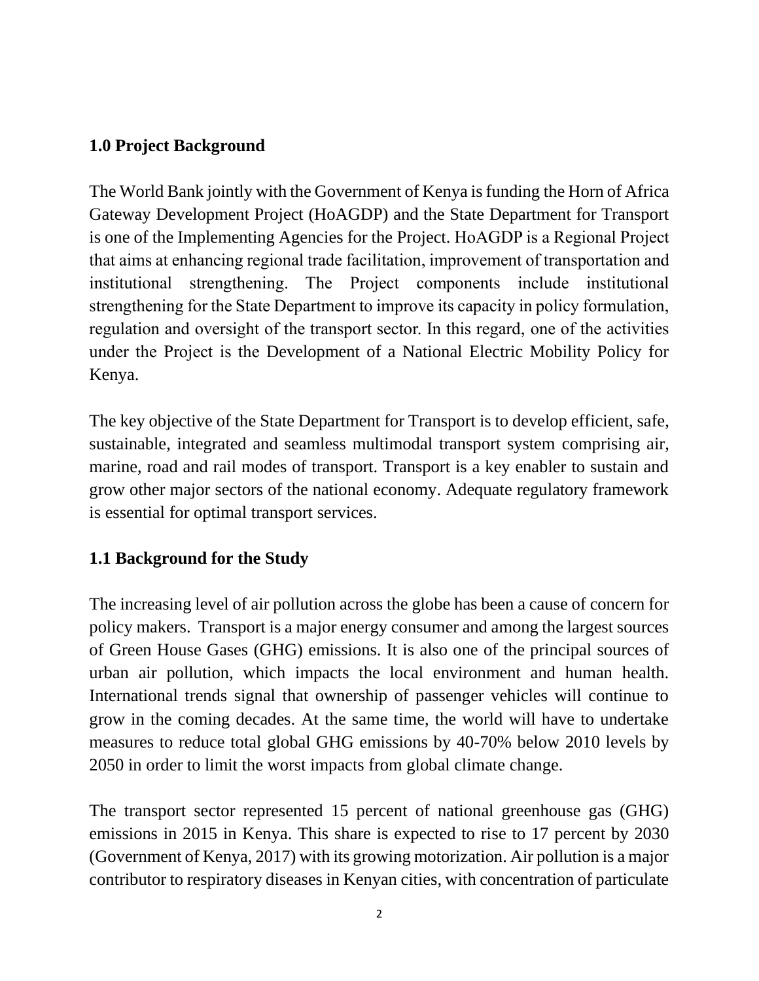### **1.0 Project Background**

The World Bank jointly with the Government of Kenya is funding the Horn of Africa Gateway Development Project (HoAGDP) and the State Department for Transport is one of the Implementing Agencies for the Project. HoAGDP is a Regional Project that aims at enhancing regional trade facilitation, improvement of transportation and institutional strengthening. The Project components include institutional strengthening for the State Department to improve its capacity in policy formulation, regulation and oversight of the transport sector. In this regard, one of the activities under the Project is the Development of a National Electric Mobility Policy for Kenya.

The key objective of the State Department for Transport is to develop efficient, safe, sustainable, integrated and seamless multimodal transport system comprising air, marine, road and rail modes of transport. Transport is a key enabler to sustain and grow other major sectors of the national economy. Adequate regulatory framework is essential for optimal transport services.

### **1.1 Background for the Study**

The increasing level of air pollution across the globe has been a cause of concern for policy makers. Transport is a major energy consumer and among the largest sources of Green House Gases (GHG) emissions. It is also one of the principal sources of urban air pollution, which impacts the local environment and human health. International trends signal that ownership of passenger vehicles will continue to grow in the coming decades. At the same time, the world will have to undertake measures to reduce total global GHG emissions by 40-70% below 2010 levels by 2050 in order to limit the worst impacts from global climate change.

The transport sector represented 15 percent of national greenhouse gas (GHG) emissions in 2015 in Kenya. This share is expected to rise to 17 percent by 2030 (Government of Kenya, 2017) with its growing motorization. Air pollution is a major contributor to respiratory diseases in Kenyan cities, with concentration of particulate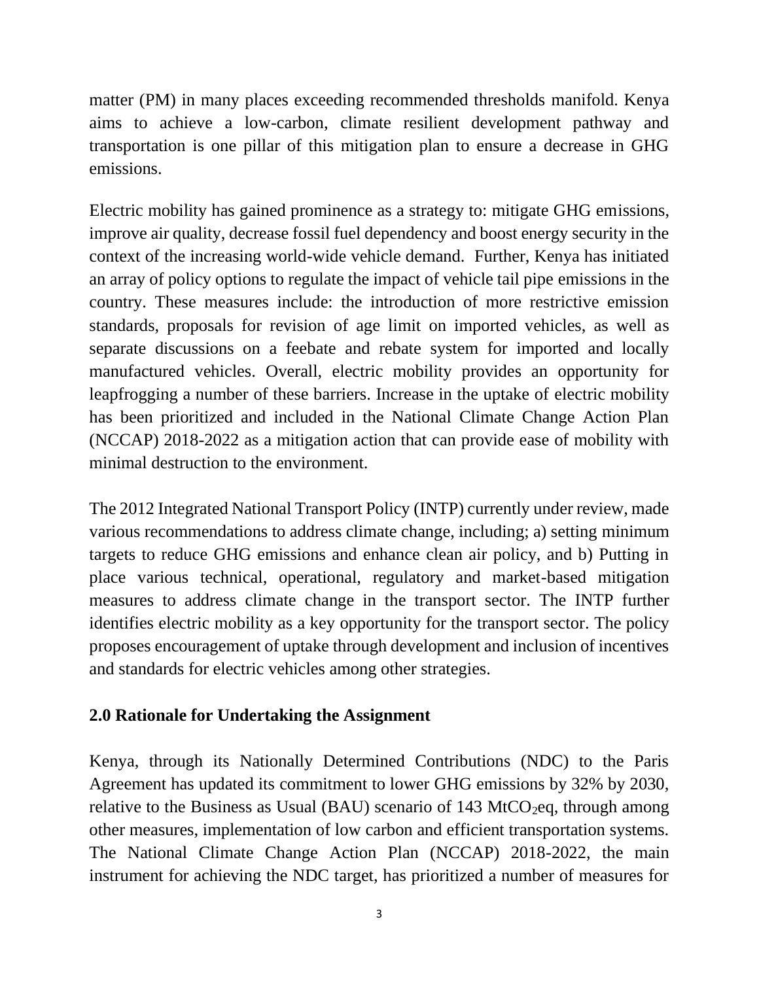matter (PM) in many places exceeding recommended thresholds manifold. Kenya aims to achieve a low-carbon, climate resilient development pathway and transportation is one pillar of this mitigation plan to ensure a decrease in GHG emissions.

Electric mobility has gained prominence as a strategy to: mitigate GHG emissions, improve air quality, decrease fossil fuel dependency and boost energy security in the context of the increasing world-wide vehicle demand. Further, Kenya has initiated an array of policy options to regulate the impact of vehicle tail pipe emissions in the country. These measures include: the introduction of more restrictive emission standards, proposals for revision of age limit on imported vehicles, as well as separate discussions on a feebate and rebate system for imported and locally manufactured vehicles. Overall, electric mobility provides an opportunity for leapfrogging a number of these barriers. Increase in the uptake of electric mobility has been prioritized and included in the National Climate Change Action Plan (NCCAP) 2018-2022 as a mitigation action that can provide ease of mobility with minimal destruction to the environment.

The 2012 Integrated National Transport Policy (INTP) currently under review, made various recommendations to address climate change, including; a) setting minimum targets to reduce GHG emissions and enhance clean air policy, and b) Putting in place various technical, operational, regulatory and market-based mitigation measures to address climate change in the transport sector. The INTP further identifies electric mobility as a key opportunity for the transport sector. The policy proposes encouragement of uptake through development and inclusion of incentives and standards for electric vehicles among other strategies.

### **2.0 Rationale for Undertaking the Assignment**

Kenya, through its Nationally Determined Contributions (NDC) to the Paris Agreement has updated its commitment to lower GHG emissions by 32% by 2030, relative to the Business as Usual (BAU) scenario of 143 MtCO<sub>2</sub>eq, through among other measures, implementation of low carbon and efficient transportation systems. The National Climate Change Action Plan (NCCAP) 2018-2022, the main instrument for achieving the NDC target, has prioritized a number of measures for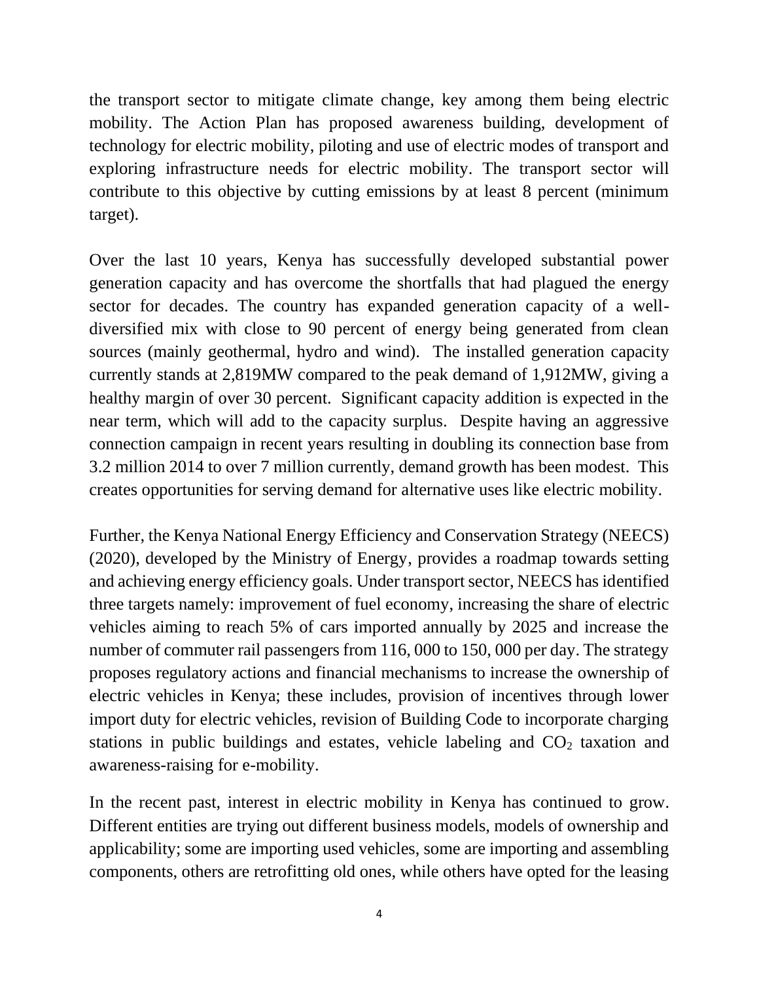the transport sector to mitigate climate change, key among them being electric mobility. The Action Plan has proposed awareness building, development of technology for electric mobility, piloting and use of electric modes of transport and exploring infrastructure needs for electric mobility. The transport sector will contribute to this objective by cutting emissions by at least 8 percent (minimum target).

Over the last 10 years, Kenya has successfully developed substantial power generation capacity and has overcome the shortfalls that had plagued the energy sector for decades. The country has expanded generation capacity of a welldiversified mix with close to 90 percent of energy being generated from clean sources (mainly geothermal, hydro and wind). The installed generation capacity currently stands at 2,819MW compared to the peak demand of 1,912MW, giving a healthy margin of over 30 percent. Significant capacity addition is expected in the near term, which will add to the capacity surplus. Despite having an aggressive connection campaign in recent years resulting in doubling its connection base from 3.2 million 2014 to over 7 million currently, demand growth has been modest. This creates opportunities for serving demand for alternative uses like electric mobility.

Further, the Kenya National Energy Efficiency and Conservation Strategy (NEECS) (2020), developed by the Ministry of Energy, provides a roadmap towards setting and achieving energy efficiency goals. Under transport sector, NEECS has identified three targets namely: improvement of fuel economy, increasing the share of electric vehicles aiming to reach 5% of cars imported annually by 2025 and increase the number of commuter rail passengers from 116, 000 to 150, 000 per day. The strategy proposes regulatory actions and financial mechanisms to increase the ownership of electric vehicles in Kenya; these includes, provision of incentives through lower import duty for electric vehicles, revision of Building Code to incorporate charging stations in public buildings and estates, vehicle labeling and  $CO<sub>2</sub>$  taxation and awareness-raising for e-mobility.

In the recent past, interest in electric mobility in Kenya has continued to grow. Different entities are trying out different business models, models of ownership and applicability; some are importing used vehicles, some are importing and assembling components, others are retrofitting old ones, while others have opted for the leasing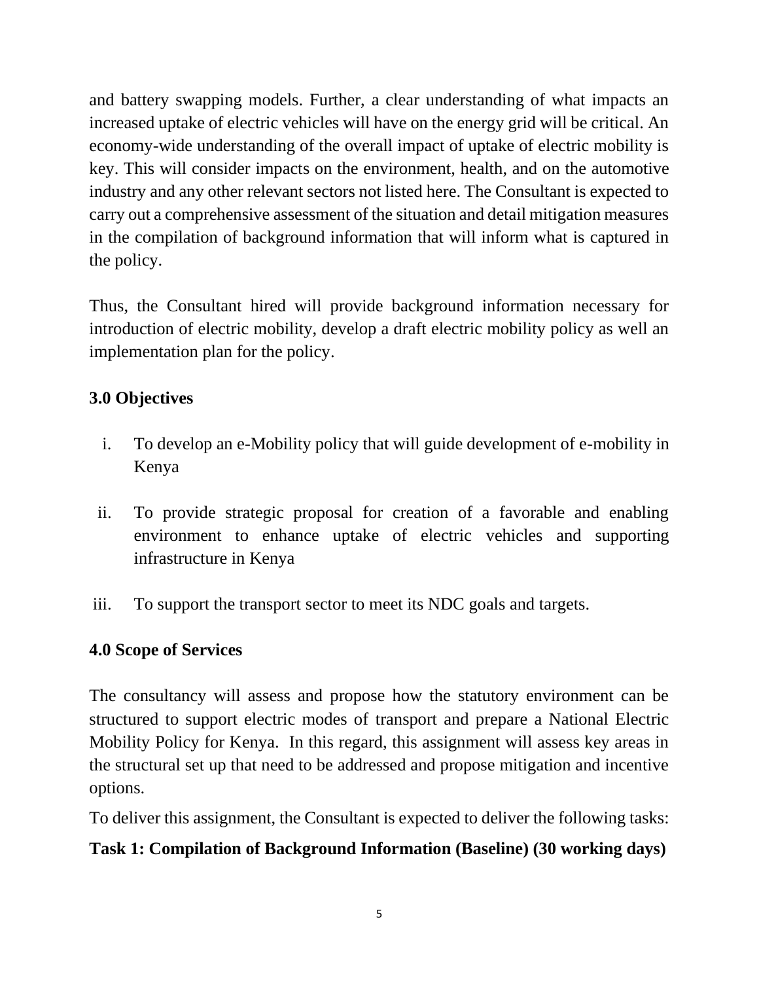and battery swapping models. Further, a clear understanding of what impacts an increased uptake of electric vehicles will have on the energy grid will be critical. An economy-wide understanding of the overall impact of uptake of electric mobility is key. This will consider impacts on the environment, health, and on the automotive industry and any other relevant sectors not listed here. The Consultant is expected to carry out a comprehensive assessment of the situation and detail mitigation measures in the compilation of background information that will inform what is captured in the policy.

Thus, the Consultant hired will provide background information necessary for introduction of electric mobility, develop a draft electric mobility policy as well an implementation plan for the policy.

## **3.0 Objectives**

- i. To develop an e-Mobility policy that will guide development of e-mobility in Kenya
- ii. To provide strategic proposal for creation of a favorable and enabling environment to enhance uptake of electric vehicles and supporting infrastructure in Kenya
- iii. To support the transport sector to meet its NDC goals and targets.

## **4.0 Scope of Services**

The consultancy will assess and propose how the statutory environment can be structured to support electric modes of transport and prepare a National Electric Mobility Policy for Kenya. In this regard, this assignment will assess key areas in the structural set up that need to be addressed and propose mitigation and incentive options.

To deliver this assignment, the Consultant is expected to deliver the following tasks:

## **Task 1: Compilation of Background Information (Baseline) (30 working days)**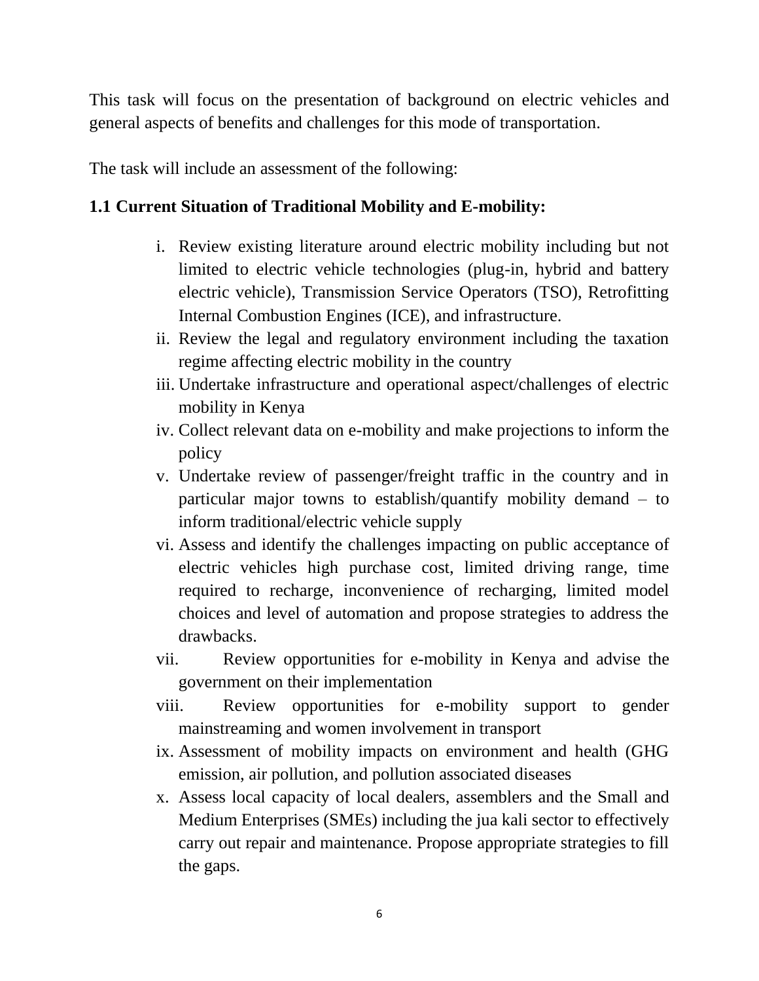This task will focus on the presentation of background on electric vehicles and general aspects of benefits and challenges for this mode of transportation.

The task will include an assessment of the following:

### **1.1 Current Situation of Traditional Mobility and E-mobility:**

- i. Review existing literature around electric mobility including but not limited to electric vehicle technologies (plug-in, hybrid and battery electric vehicle), Transmission Service Operators (TSO), Retrofitting Internal Combustion Engines (ICE), and infrastructure.
- ii. Review the legal and regulatory environment including the taxation regime affecting electric mobility in the country
- iii. Undertake infrastructure and operational aspect/challenges of electric mobility in Kenya
- iv. Collect relevant data on e-mobility and make projections to inform the policy
- v. Undertake review of passenger/freight traffic in the country and in particular major towns to establish/quantify mobility demand – to inform traditional/electric vehicle supply
- vi. Assess and identify the challenges impacting on public acceptance of electric vehicles high purchase cost, limited driving range, time required to recharge, inconvenience of recharging, limited model choices and level of automation and propose strategies to address the drawbacks.
- vii. Review opportunities for e-mobility in Kenya and advise the government on their implementation
- viii. Review opportunities for e-mobility support to gender mainstreaming and women involvement in transport
- ix. Assessment of mobility impacts on environment and health (GHG emission, air pollution, and pollution associated diseases
- x. Assess local capacity of local dealers, assemblers and the Small and Medium Enterprises (SMEs) including the jua kali sector to effectively carry out repair and maintenance. Propose appropriate strategies to fill the gaps.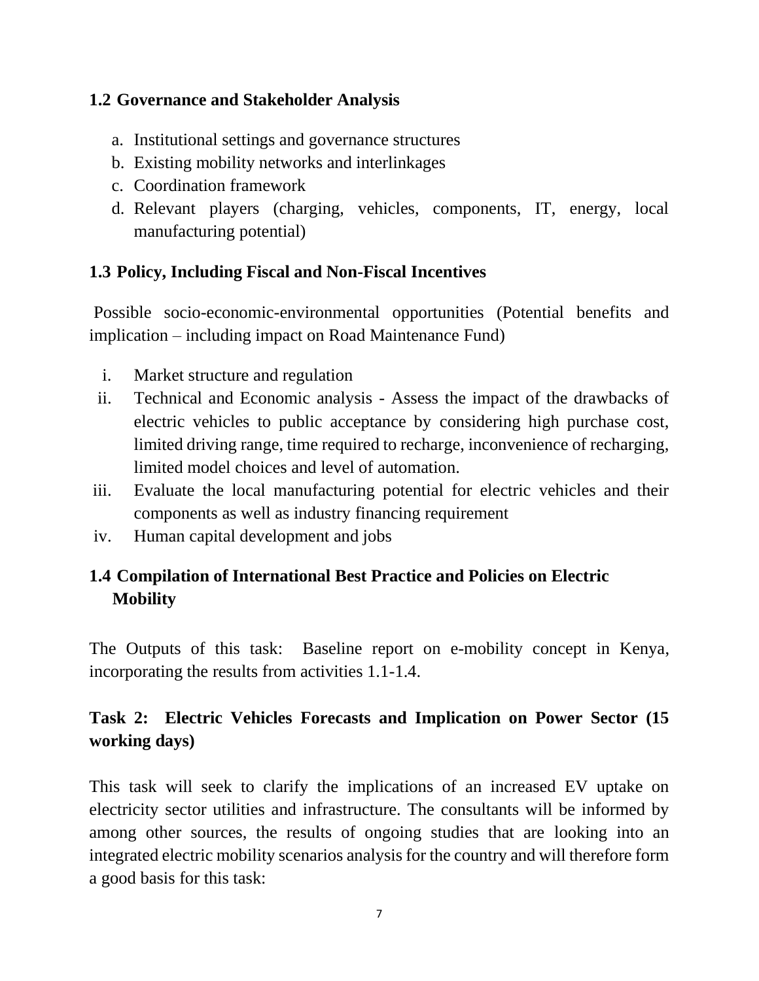#### **1.2 Governance and Stakeholder Analysis**

- a. Institutional settings and governance structures
- b. Existing mobility networks and interlinkages
- c. Coordination framework
- d. Relevant players (charging, vehicles, components, IT, energy, local manufacturing potential)

### **1.3 Policy, Including Fiscal and Non-Fiscal Incentives**

Possible socio-economic-environmental opportunities (Potential benefits and implication – including impact on Road Maintenance Fund)

- i. Market structure and regulation
- ii. Technical and Economic analysis Assess the impact of the drawbacks of electric vehicles to public acceptance by considering high purchase cost, limited driving range, time required to recharge, inconvenience of recharging, limited model choices and level of automation.
- iii. Evaluate the local manufacturing potential for electric vehicles and their components as well as industry financing requirement
- iv. Human capital development and jobs

## **1.4 Compilation of International Best Practice and Policies on Electric Mobility**

The Outputs of this task: Baseline report on e-mobility concept in Kenya, incorporating the results from activities 1.1-1.4.

## **Task 2: Electric Vehicles Forecasts and Implication on Power Sector (15 working days)**

This task will seek to clarify the implications of an increased EV uptake on electricity sector utilities and infrastructure. The consultants will be informed by among other sources, the results of ongoing studies that are looking into an integrated electric mobility scenarios analysis for the country and will therefore form a good basis for this task: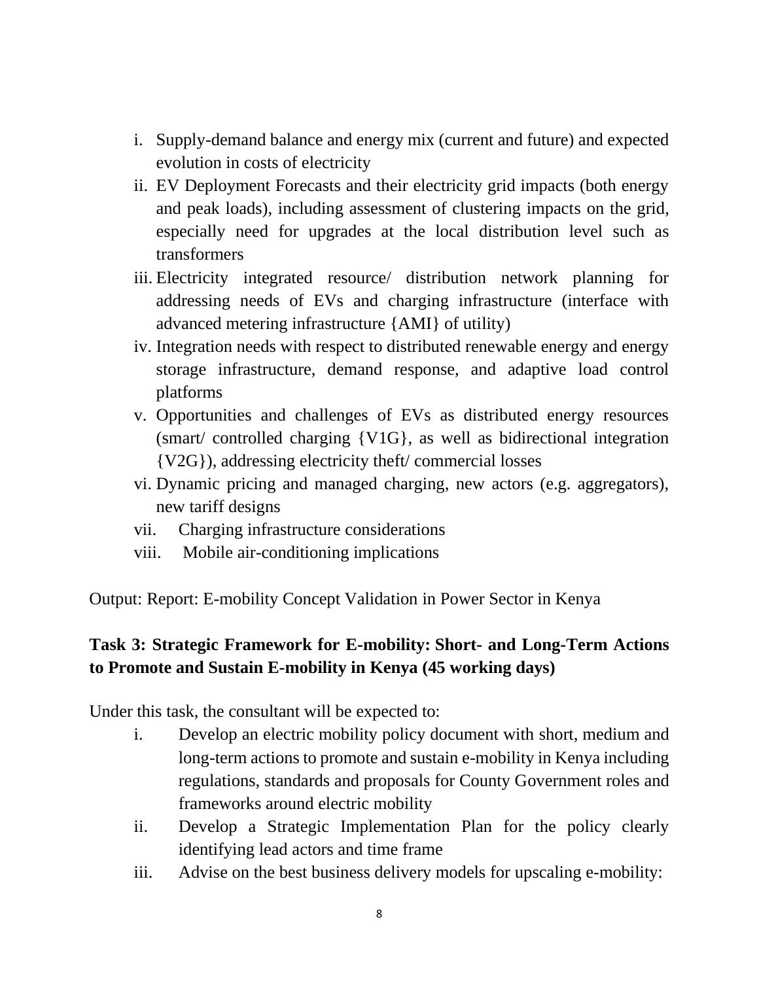- i. Supply-demand balance and energy mix (current and future) and expected evolution in costs of electricity
- ii. EV Deployment Forecasts and their electricity grid impacts (both energy and peak loads), including assessment of clustering impacts on the grid, especially need for upgrades at the local distribution level such as transformers
- iii. Electricity integrated resource/ distribution network planning for addressing needs of EVs and charging infrastructure (interface with advanced metering infrastructure {AMI} of utility)
- iv. Integration needs with respect to distributed renewable energy and energy storage infrastructure, demand response, and adaptive load control platforms
- v. Opportunities and challenges of EVs as distributed energy resources (smart/ controlled charging {V1G}, as well as bidirectional integration {V2G}), addressing electricity theft/ commercial losses
- vi. Dynamic pricing and managed charging, new actors (e.g. aggregators), new tariff designs
- vii. Charging infrastructure considerations
- viii. Mobile air-conditioning implications

Output: Report: E-mobility Concept Validation in Power Sector in Kenya

### **Task 3: Strategic Framework for E-mobility: Short- and Long-Term Actions to Promote and Sustain E-mobility in Kenya (45 working days)**

Under this task, the consultant will be expected to:

- i. Develop an electric mobility policy document with short, medium and long-term actions to promote and sustain e-mobility in Kenya including regulations, standards and proposals for County Government roles and frameworks around electric mobility
- ii. Develop a Strategic Implementation Plan for the policy clearly identifying lead actors and time frame
- iii. Advise on the best business delivery models for upscaling e-mobility: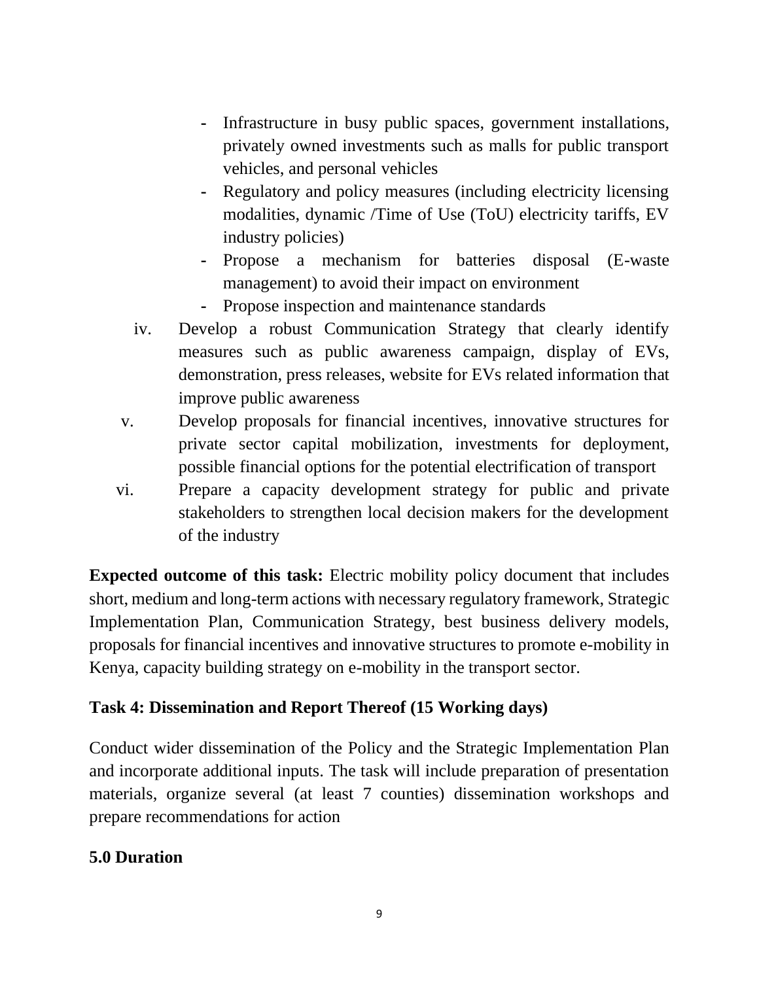- **-** Infrastructure in busy public spaces, government installations, privately owned investments such as malls for public transport vehicles, and personal vehicles
- **-** Regulatory and policy measures (including electricity licensing modalities, dynamic /Time of Use (ToU) electricity tariffs, EV industry policies)
- **-** Propose a mechanism for batteries disposal (E-waste management) to avoid their impact on environment
- **-** Propose inspection and maintenance standards
- iv. Develop a robust Communication Strategy that clearly identify measures such as public awareness campaign, display of EVs, demonstration, press releases, website for EVs related information that improve public awareness
- v. Develop proposals for financial incentives, innovative structures for private sector capital mobilization, investments for deployment, possible financial options for the potential electrification of transport
- vi. Prepare a capacity development strategy for public and private stakeholders to strengthen local decision makers for the development of the industry

**Expected outcome of this task:** Electric mobility policy document that includes short, medium and long-term actions with necessary regulatory framework, Strategic Implementation Plan, Communication Strategy, best business delivery models, proposals for financial incentives and innovative structures to promote e-mobility in Kenya, capacity building strategy on e-mobility in the transport sector.

## **Task 4: Dissemination and Report Thereof (15 Working days)**

Conduct wider dissemination of the Policy and the Strategic Implementation Plan and incorporate additional inputs. The task will include preparation of presentation materials, organize several (at least 7 counties) dissemination workshops and prepare recommendations for action

### **5.0 Duration**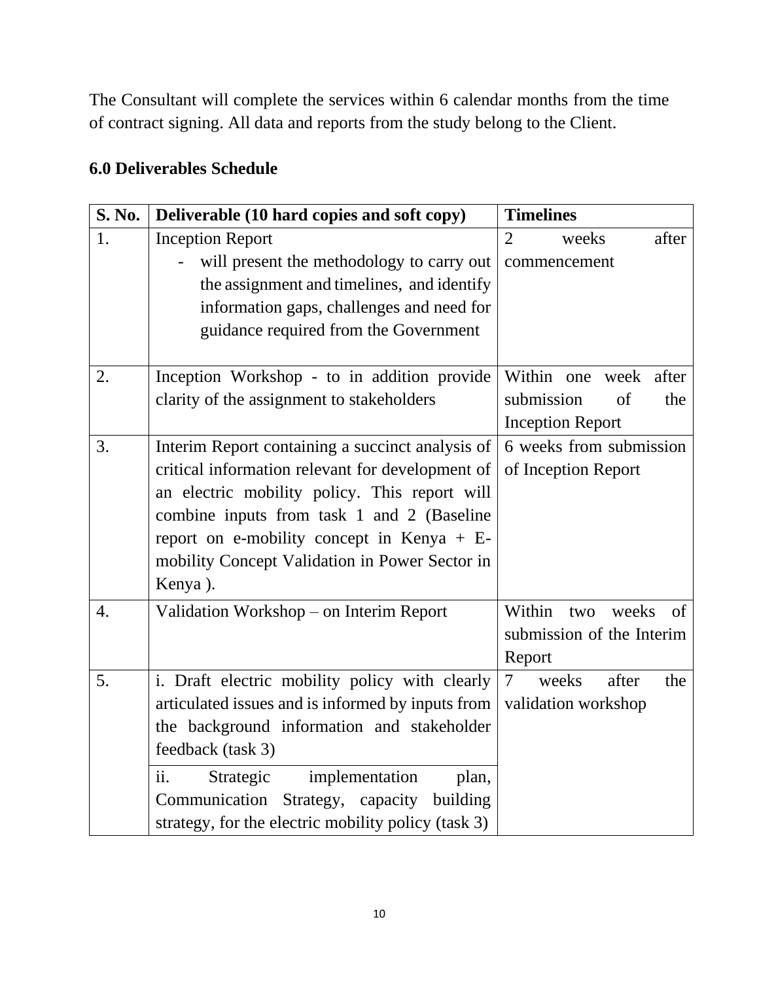The Consultant will complete the services within 6 calendar months from the time of contract signing. All data and reports from the study belong to the Client.

|  | <b>6.0 Deliverables Schedule</b> |
|--|----------------------------------|
|--|----------------------------------|

| <b>S. No.</b> | Deliverable (10 hard copies and soft copy)          | <b>Timelines</b>                                  |
|---------------|-----------------------------------------------------|---------------------------------------------------|
| 1.            | <b>Inception Report</b>                             | $\overline{2}$<br>weeks<br>after                  |
|               | will present the methodology to carry out           | commencement                                      |
|               | the assignment and timelines, and identify          |                                                   |
|               | information gaps, challenges and need for           |                                                   |
|               | guidance required from the Government               |                                                   |
|               |                                                     |                                                   |
| 2.            | Inception Workshop - to in addition provide         | Within one week after                             |
|               | clarity of the assignment to stakeholders           | submission<br>of<br>the                           |
|               |                                                     | <b>Inception Report</b>                           |
| 3.            | Interim Report containing a succinct analysis of    | 6 weeks from submission                           |
|               | critical information relevant for development of    | of Inception Report                               |
|               | an electric mobility policy. This report will       |                                                   |
|               | combine inputs from task 1 and 2 (Baseline          |                                                   |
|               | report on e-mobility concept in Kenya $+ E$ -       |                                                   |
|               | mobility Concept Validation in Power Sector in      |                                                   |
|               | Kenya).                                             |                                                   |
| 4.            | Validation Workshop – on Interim Report             | Within two<br>weeks<br>$\sigma$                   |
|               |                                                     | submission of the Interim                         |
|               |                                                     | Report                                            |
| 5.            | i. Draft electric mobility policy with clearly      | weeks<br>$\overline{\mathcal{L}}$<br>after<br>the |
|               | articulated issues and is informed by inputs from   | validation workshop                               |
|               | the background information and stakeholder          |                                                   |
|               | feedback (task 3)                                   |                                                   |
|               | ii.<br>implementation<br>Strategic<br>plan,         |                                                   |
|               | Strategy, capacity<br>Communication<br>building     |                                                   |
|               | strategy, for the electric mobility policy (task 3) |                                                   |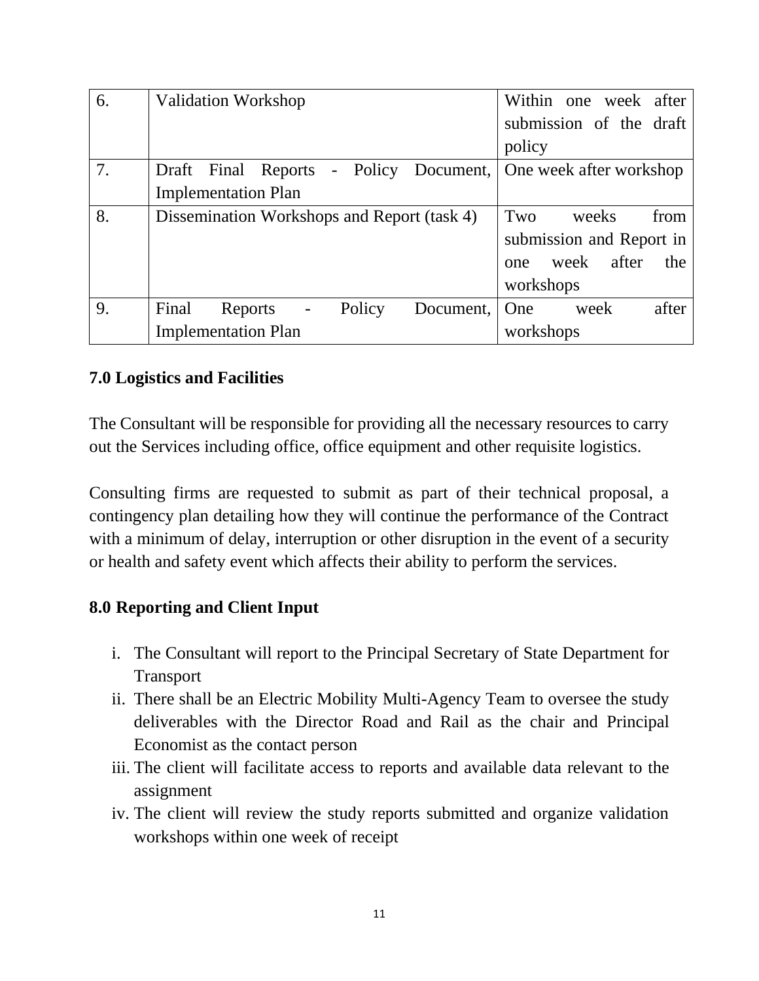| 6. | <b>Validation Workshop</b>                          | Within one week after       |
|----|-----------------------------------------------------|-----------------------------|
|    |                                                     | submission of the draft     |
|    |                                                     | policy                      |
| 7. | Draft Final Reports - Policy Document,              | One week after workshop     |
|    | <b>Implementation Plan</b>                          |                             |
| 8. | Dissemination Workshops and Report (task 4)         | Two<br>from<br>weeks        |
|    |                                                     | submission and Report in    |
|    |                                                     | after<br>week<br>the<br>one |
|    |                                                     | workshops                   |
| 9. | Policy<br>Final<br>Document,<br>Reports<br>$\equiv$ | after<br>One<br>week        |
|    | <b>Implementation Plan</b>                          | workshops                   |

### **7.0 Logistics and Facilities**

The Consultant will be responsible for providing all the necessary resources to carry out the Services including office, office equipment and other requisite logistics.

Consulting firms are requested to submit as part of their technical proposal, a contingency plan detailing how they will continue the performance of the Contract with a minimum of delay, interruption or other disruption in the event of a security or health and safety event which affects their ability to perform the services.

### **8.0 Reporting and Client Input**

- i. The Consultant will report to the Principal Secretary of State Department for Transport
- ii. There shall be an Electric Mobility Multi-Agency Team to oversee the study deliverables with the Director Road and Rail as the chair and Principal Economist as the contact person
- iii. The client will facilitate access to reports and available data relevant to the assignment
- iv. The client will review the study reports submitted and organize validation workshops within one week of receipt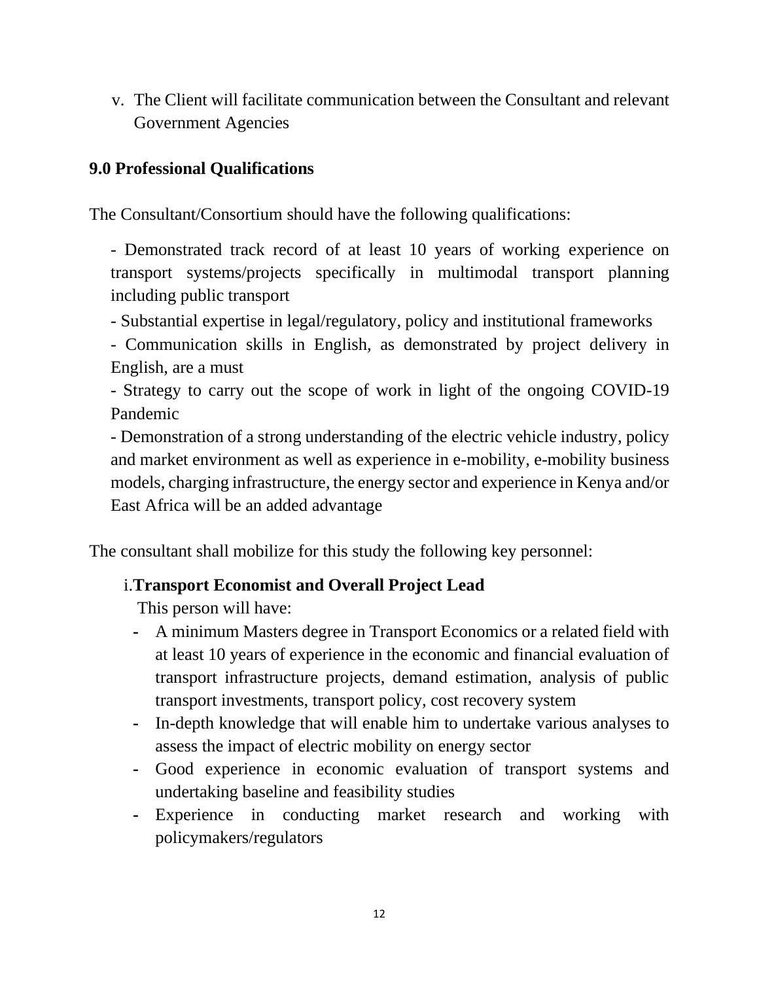v. The Client will facilitate communication between the Consultant and relevant Government Agencies

### **9.0 Professional Qualifications**

The Consultant/Consortium should have the following qualifications:

- Demonstrated track record of at least 10 years of working experience on transport systems/projects specifically in multimodal transport planning including public transport

- Substantial expertise in legal/regulatory, policy and institutional frameworks

- Communication skills in English, as demonstrated by project delivery in English, are a must

- Strategy to carry out the scope of work in light of the ongoing COVID-19 Pandemic

- Demonstration of a strong understanding of the electric vehicle industry, policy and market environment as well as experience in e-mobility, e-mobility business models, charging infrastructure, the energy sector and experience in Kenya and/or East Africa will be an added advantage

The consultant shall mobilize for this study the following key personnel:

### i.**Transport Economist and Overall Project Lead**

This person will have:

- **-** A minimum Masters degree in Transport Economics or a related field with at least 10 years of experience in the economic and financial evaluation of transport infrastructure projects, demand estimation, analysis of public transport investments, transport policy, cost recovery system
- **-** In-depth knowledge that will enable him to undertake various analyses to assess the impact of electric mobility on energy sector
- **-** Good experience in economic evaluation of transport systems and undertaking baseline and feasibility studies
- **-** Experience in conducting market research and working with policymakers/regulators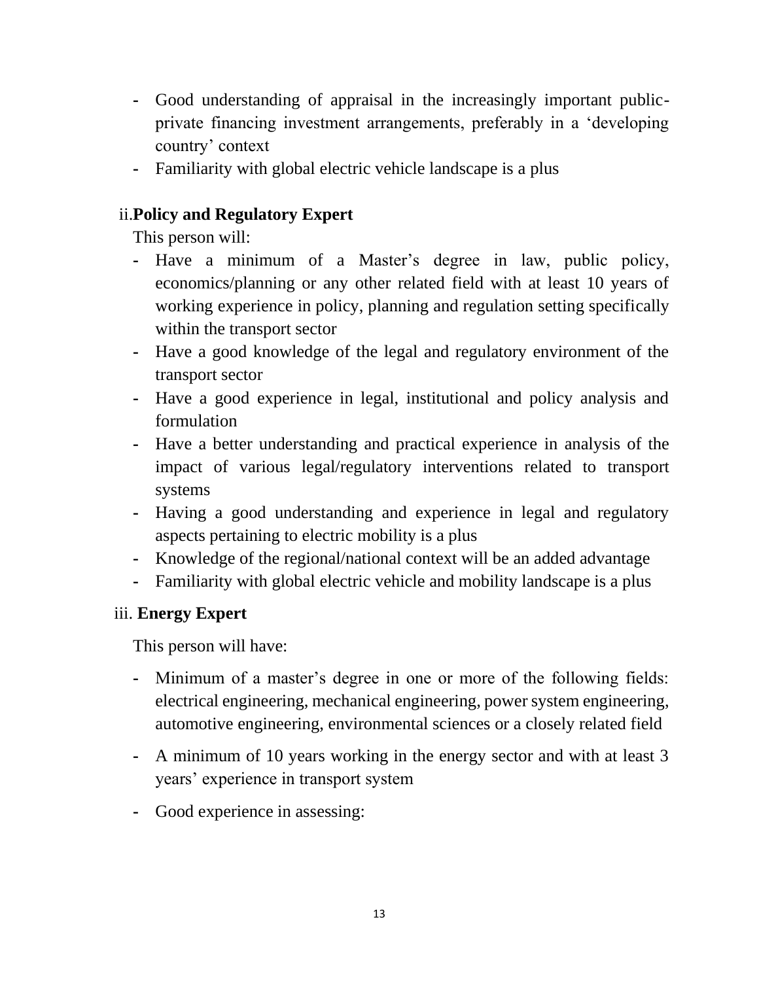- **-** Good understanding of appraisal in the increasingly important publicprivate financing investment arrangements, preferably in a 'developing country' context
- **-** Familiarity with global electric vehicle landscape is a plus

## ii.**Policy and Regulatory Expert**

This person will:

- **-** Have a minimum of a Master's degree in law, public policy, economics/planning or any other related field with at least 10 years of working experience in policy, planning and regulation setting specifically within the transport sector
- **-** Have a good knowledge of the legal and regulatory environment of the transport sector
- **-** Have a good experience in legal, institutional and policy analysis and formulation
- **-** Have a better understanding and practical experience in analysis of the impact of various legal/regulatory interventions related to transport systems
- **-** Having a good understanding and experience in legal and regulatory aspects pertaining to electric mobility is a plus
- **-** Knowledge of the regional/national context will be an added advantage
- **-** Familiarity with global electric vehicle and mobility landscape is a plus

## iii. **Energy Expert**

This person will have:

- **-** Minimum of a master's degree in one or more of the following fields: electrical engineering, mechanical engineering, power system engineering, automotive engineering, environmental sciences or a closely related field
- **-** A minimum of 10 years working in the energy sector and with at least 3 years' experience in transport system
- **-** Good experience in assessing: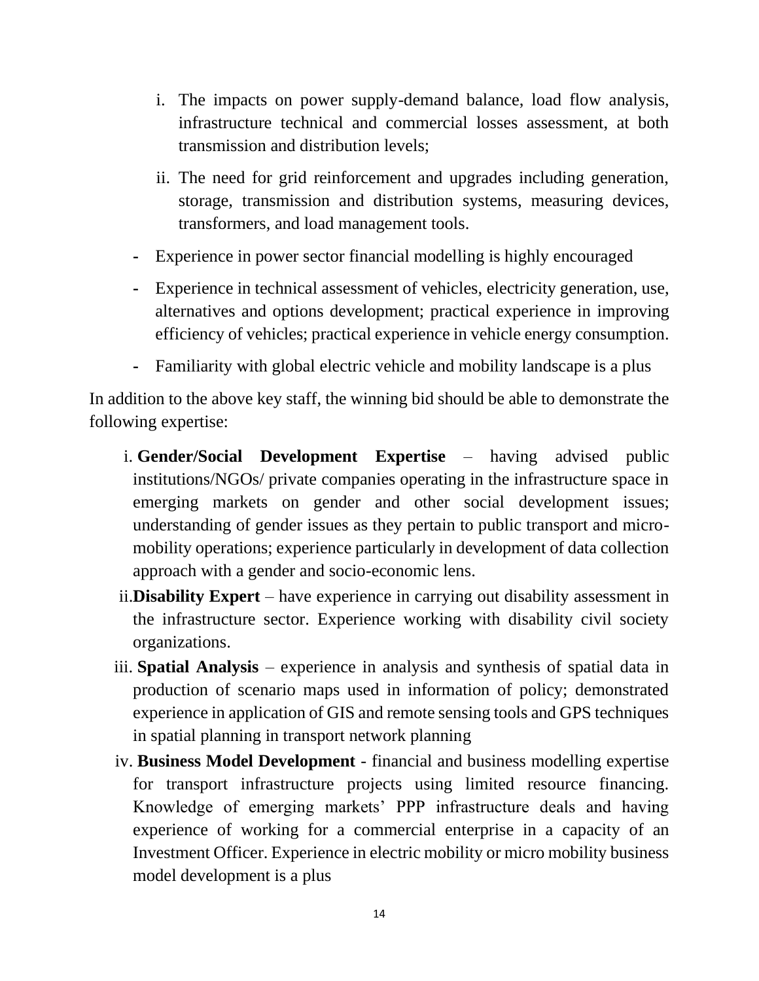- i. The impacts on power supply-demand balance, load flow analysis, infrastructure technical and commercial losses assessment, at both transmission and distribution levels;
- ii. The need for grid reinforcement and upgrades including generation, storage, transmission and distribution systems, measuring devices, transformers, and load management tools.
- **-** Experience in power sector financial modelling is highly encouraged
- **-** Experience in technical assessment of vehicles, electricity generation, use, alternatives and options development; practical experience in improving efficiency of vehicles; practical experience in vehicle energy consumption.
- **-** Familiarity with global electric vehicle and mobility landscape is a plus

In addition to the above key staff, the winning bid should be able to demonstrate the following expertise:

- i. **Gender/Social Development Expertise** having advised public institutions/NGOs/ private companies operating in the infrastructure space in emerging markets on gender and other social development issues; understanding of gender issues as they pertain to public transport and micromobility operations; experience particularly in development of data collection approach with a gender and socio-economic lens.
- ii.**Disability Expert**  have experience in carrying out disability assessment in the infrastructure sector. Experience working with disability civil society organizations.
- iii. **Spatial Analysis** experience in analysis and synthesis of spatial data in production of scenario maps used in information of policy; demonstrated experience in application of GIS and remote sensing tools and GPS techniques in spatial planning in transport network planning
- iv. **Business Model Development**  financial and business modelling expertise for transport infrastructure projects using limited resource financing. Knowledge of emerging markets' PPP infrastructure deals and having experience of working for a commercial enterprise in a capacity of an Investment Officer. Experience in electric mobility or micro mobility business model development is a plus